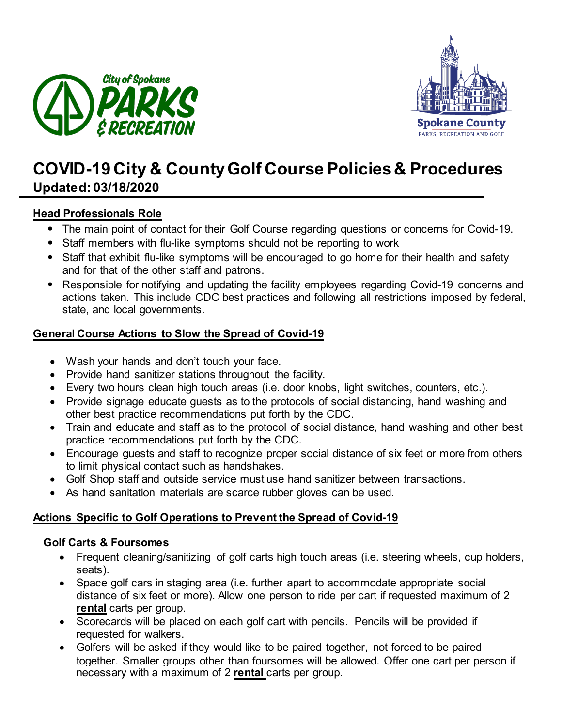



# **COVID-19 City & CountyGolf Course Policies& Procedures Updated: 03/18/2020**

# **Head Professionals Role**

- The main point of contact for their Golf Course regarding questions or concerns for Covid-19.
- Staff members with flu-like symptoms should not be reporting to work
- Staff that exhibit flu-like symptoms will be encouraged to go home for their health and safety and for that of the other staff and patrons.
- Responsible for notifying and updating the facility employees regarding Covid-19 concerns and actions taken. This include CDC best practices and following all restrictions imposed by federal, state, and local governments.

# **General Course Actions to Slow the Spread of Covid-19**

- Wash your hands and don't touch your face.
- Provide hand sanitizer stations throughout the facility.
- Every two hours clean high touch areas (i.e. door knobs, light switches, counters, etc.).
- Provide signage educate guests as to the protocols of social distancing, hand washing and other best practice recommendations put forth by the CDC.
- Train and educate and staff as to the protocol of social distance, hand washing and other best practice recommendations put forth by the CDC.
- Encourage guests and staff to recognize proper social distance of six feet or more from others to limit physical contact such as handshakes.
- Golf Shop staff and outside service must use hand sanitizer between transactions.
- As hand sanitation materials are scarce rubber gloves can be used.

# **Actions Specific to Golf Operations to Prevent the Spread of Covid-19**

#### **Golf Carts & Foursomes**

- Frequent cleaning/sanitizing of golf carts high touch areas (i.e. steering wheels, cup holders, seats).
- Space golf cars in staging area (i.e. further apart to accommodate appropriate social distance of six feet or more). Allow one person to ride per cart if requested maximum of 2 **rental** carts per group.
- Scorecards will be placed on each golf cart with pencils. Pencils will be provided if requested for walkers.
- Golfers will be asked if they would like to be paired together, not forced to be paired together. Smaller groups other than foursomes will be allowed. Offer one cart per person if necessary with a maximum of 2 **rental** carts per group.